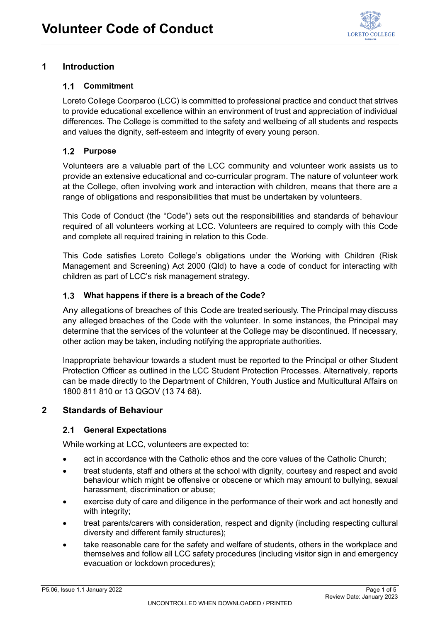

# **1 Introduction**

### **Commitment**

Loreto College Coorparoo (LCC) is committed to professional practice and conduct that strives to provide educational excellence within an environment of trust and appreciation of individual differences. The College is committed to the safety and wellbeing of all students and respects and values the dignity, self-esteem and integrity of every young person.

## **Purpose**

Volunteers are a valuable part of the LCC community and volunteer work assists us to provide an extensive educational and co-curricular program. The nature of volunteer work at the College, often involving work and interaction with children, means that there are a range of obligations and responsibilities that must be undertaken by volunteers.

This Code of Conduct (the "Code") sets out the responsibilities and standards of behaviour required of all volunteers working at LCC. Volunteers are required to comply with this Code and complete all required training in relation to this Code.

This Code satisfies Loreto College's obligations under the Working with Children (Risk Management and Screening) Act 2000 (Qld) to have a code of conduct for interacting with children as part of LCC's risk management strategy.

#### **What happens if there is a breach of the Code?**

Any allegations of breaches of this Code are treated seriously. The Principal may discuss any alleged breaches of the Code with the volunteer. In some instances, the Principal may determine that the services of the volunteer at the College may be discontinued. If necessary, other action may be taken, including notifying the appropriate authorities.

Inappropriate behaviour towards a student must be reported to the Principal or other Student Protection Officer as outlined in the [LCC Student Protection Processes.](https://www.loreto.qld.edu.au/home-2/child-protection/) Alternatively, reports can be made directly to the Department of Children, Youth Justice and Multicultural Affairs on 1800 811 810 or 13 QGOV (13 74 68).

#### **2 Standards of Behaviour**

#### **General Expectations**

While working at LCC, volunteers are expected to:

- act in accordance with the Catholic ethos and the core values of the Catholic Church;
- treat students, staff and others at the school with dignity, courtesy and respect and avoid behaviour which might be offensive or obscene or which may amount to bullying, sexual harassment, discrimination or abuse;
- exercise duty of care and diligence in the performance of their work and act honestly and with integrity;
- treat parents/carers with consideration, respect and dignity (including respecting cultural diversity and different family structures);
- take reasonable care for the safety and welfare of students, others in the workplace and themselves and follow all LCC safety procedures (including visitor sign in and emergency evacuation or lockdown procedures);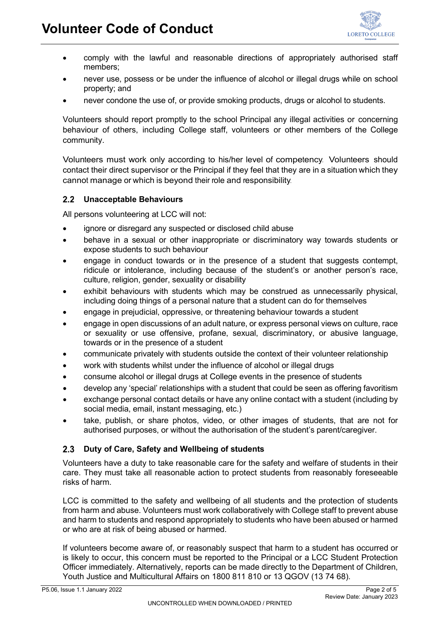

- comply with the lawful and reasonable directions of appropriately authorised staff members;
- never use, possess or be under the influence of alcohol or illegal drugs while on school property; and
- never condone the use of, or provide smoking products, drugs or alcohol to students.

Volunteers should report promptly to the school Principal any illegal activities or concerning behaviour of others, including College staff, volunteers or other members of the College community.

Volunteers must work only according to his/her level of competency. Volunteers should contact their direct supervisor or the Principal if they feel that they are in a situation which they cannot manage or which is beyond their role and responsibility.

#### **Unacceptable Behaviours**

All persons volunteering at LCC will not:

- ignore or disregard any suspected or disclosed child abuse
- behave in a sexual or other inappropriate or discriminatory way towards students or expose students to such behaviour
- engage in conduct towards or in the presence of a student that suggests contempt, ridicule or intolerance, including because of the student's or another person's race, culture, religion, gender, sexuality or disability
- exhibit behaviours with students which may be construed as unnecessarily physical, including doing things of a personal nature that a student can do for themselves
- engage in prejudicial, oppressive, or threatening behaviour towards a student
- engage in open discussions of an adult nature, or express personal views on culture, race or sexuality or use offensive, profane, sexual, discriminatory, or abusive language, towards or in the presence of a student
- communicate privately with students outside the context of their volunteer relationship
- work with students whilst under the influence of alcohol or illegal drugs
- consume alcohol or illegal drugs at College events in the presence of students
- develop any 'special' relationships with a student that could be seen as offering favoritism
- exchange personal contact details or have any online contact with a student (including by social media, email, instant messaging, etc.)
- take, publish, or share photos, video, or other images of students, that are not for authorised purposes, or without the authorisation of the student's parent/caregiver.

#### **Duty of Care, Safety and Wellbeing of students**

Volunteers have a duty to take reasonable care for the safety and welfare of students in their care. They must take all reasonable action to protect students from reasonably foreseeable risks of harm.

LCC is committed to the safety and wellbeing of all students and the protection of students from harm and abuse. Volunteers must work collaboratively with College staff to prevent abuse and harm to students and respond appropriately to students who have been abused or harmed or who are at risk of being abused or harmed.

If volunteers become aware of, or reasonably suspect that harm to a student has occurred or is likely to occur, this concern must be reported to the Principal or a LCC Student Protection Officer immediately. Alternatively, reports can be made directly to the Department of Children, Youth Justice and Multicultural Affairs on 1800 811 810 or 13 QGOV (13 74 68).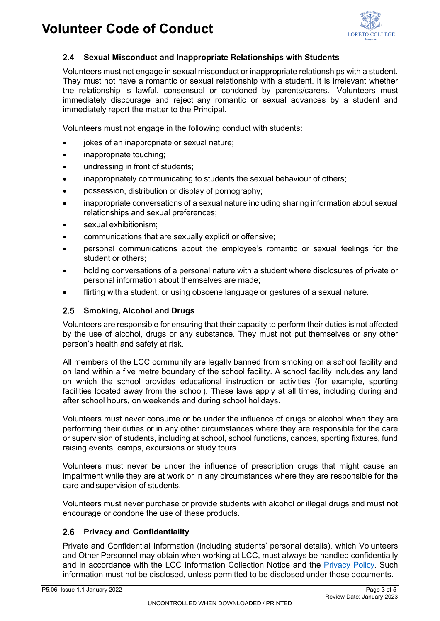#### **Sexual Misconduct and Inappropriate Relationships with Students**  $2.4$

Volunteers must not engage in sexual misconduct or inappropriate relationships with a student. They must not have a romantic or sexual relationship with a student. It is irrelevant whether the relationship is lawful, consensual or condoned by parents/carers. Volunteers must immediately discourage and reject any romantic or sexual advances by a student and immediately report the matter to the Principal.

Volunteers must not engage in the following conduct with students:

- jokes of an inappropriate or sexual nature;
- inappropriate touching;
- undressing in front of students;
- inappropriately communicating to students the sexual behaviour of others;
- possession, distribution or display of pornography;
- inappropriate conversations of a sexual nature including sharing information about sexual relationships and sexual preferences;
- sexual exhibitionism:
- communications that are sexually explicit or offensive;
- personal communications about the employee's romantic or sexual feelings for the student or others;
- holding conversations of a personal nature with a student where disclosures of private or personal information about themselves are made;
- flirting with a student; or using obscene language or gestures of a sexual nature.

#### **Smoking, Alcohol and Drugs**

Volunteers are responsible for ensuring that their capacity to perform their duties is not affected by the use of alcohol, drugs or any substance. They must not put themselves or any other person's health and safety at risk.

All members of the LCC community are legally banned from smoking on a school facility and on land within a five metre boundary of the school facility. A school facility includes any land on which the school provides educational instruction or activities (for example, sporting facilities located away from the school). These laws apply at all times, including during and after school hours, on weekends and during school holidays.

Volunteers must never consume or be under the influence of drugs or alcohol when they are performing their duties or in any other circumstances where they are responsible for the care or supervision of students, including at school, school functions, dances, sporting fixtures, fund raising events, camps, excursions or study tours.

Volunteers must never be under the influence of prescription drugs that might cause an impairment while they are at work or in any circumstances where they are responsible for the care and supervision of students.

Volunteers must never purchase or provide students with alcohol or illegal drugs and must not encourage or condone the use of these products.

#### **Privacy and Confidentiality**

Private and Confidential Information (including students' personal details), which Volunteers and Other Personnel may obtain when working at LCC, must always be handled confidentially and in accordance with the LCC Information Collection Notice and the [Privacy Policy](https://www.loreto.qld.edu.au/about-loreto/policies-procedures/)*.* Such information must not be disclosed, unless permitted to be disclosed under those documents.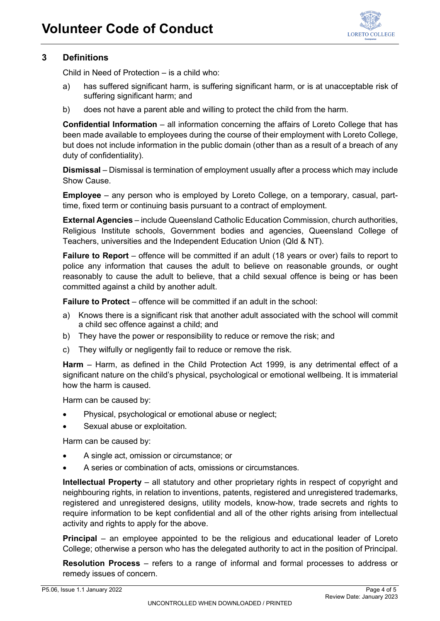

## **3 Definitions**

Child in Need of Protection – is a child who:

- a) has suffered significant harm, is suffering significant harm, or is at unacceptable risk of suffering significant harm; and
- b) does not have a parent able and willing to protect the child from the harm.

**Confidential Information** – all information concerning the affairs of Loreto College that has been made available to employees during the course of their employment with Loreto College, but does not include information in the public domain (other than as a result of a breach of any duty of confidentiality).

**Dismissal** *–* Dismissal is termination of employment usually after a process which may include Show Cause.

**Employee** – any person who is employed by Loreto College, on a temporary, casual, parttime, fixed term or continuing basis pursuant to a contract of employment.

**External Agencies** – include Queensland Catholic Education Commission, church authorities, Religious Institute schools, Government bodies and agencies, Queensland College of Teachers, universities and the Independent Education Union (Qld & NT).

**Failure to Report** – offence will be committed if an adult (18 years or over) fails to report to police any information that causes the adult to believe on reasonable grounds, or ought reasonably to cause the adult to believe, that a child sexual offence is being or has been committed against a child by another adult.

**Failure to Protect** – offence will be committed if an adult in the school:

- a) Knows there is a significant risk that another adult associated with the school will commit a child sec offence against a child; and
- b) They have the power or responsibility to reduce or remove the risk; and
- c) They wilfully or negligently fail to reduce or remove the risk.

**Harm** *–* Harm, as defined in the Child Protection Act 1999, is any detrimental effect of a significant nature on the child's physical, psychological or emotional wellbeing. It is immaterial how the harm is caused.

Harm can be caused by:

- Physical, psychological or emotional abuse or neglect;
- Sexual abuse or exploitation.

Harm can be caused by:

- A single act, omission or circumstance; or
- A series or combination of acts, omissions or circumstances.

**Intellectual Property** – all statutory and other proprietary rights in respect of copyright and neighbouring rights, in relation to inventions, patents, registered and unregistered trademarks, registered and unregistered designs, utility models, know-how, trade secrets and rights to require information to be kept confidential and all of the other rights arising from intellectual activity and rights to apply for the above.

**Principal** – an employee appointed to be the religious and educational leader of Loreto College; otherwise a person who has the delegated authority to act in the position of Principal.

**Resolution Process** *–* refers to a range of informal and formal processes to address or remedy issues of concern.